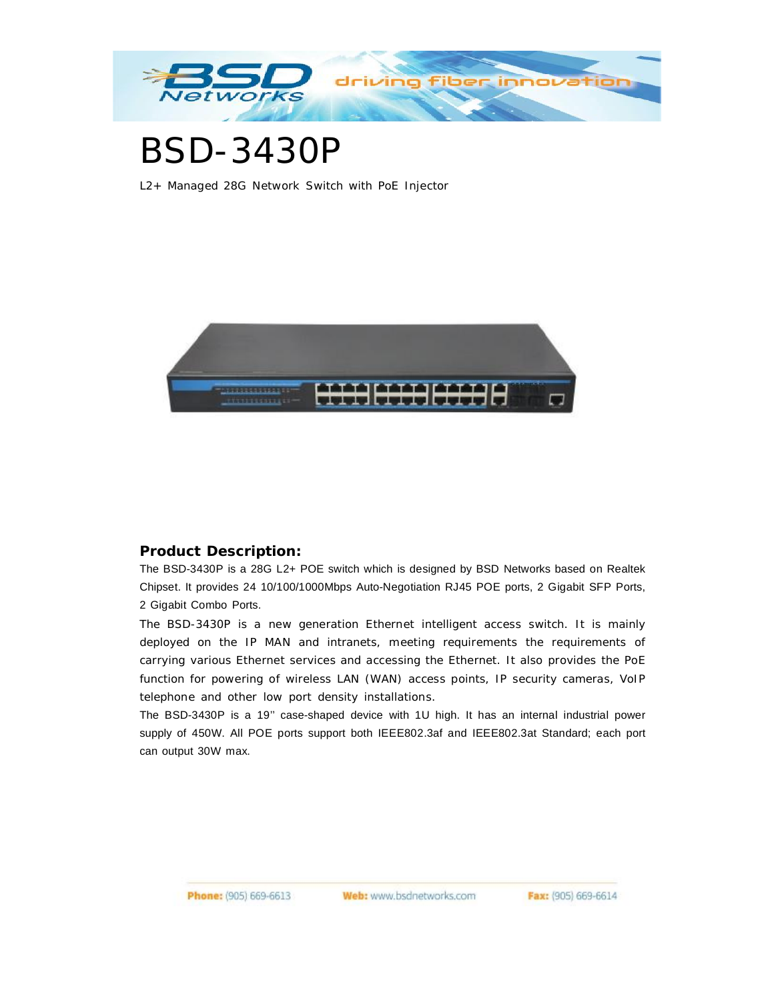

# BSD-3430P

L2+ Managed 28G Network Switch with PoE Injector



## **Product Description:**

The BSD-3430P is a 28G L2+ POE switch which is designed by BSD Networks based on Realtek Chipset. It provides 24 10/100/1000Mbps Auto-Negotiation RJ45 POE ports, 2 Gigabit SFP Ports, 2 Gigabit Combo Ports.

The BSD-3430P is a new generation Ethernet intelligent access switch. It is mainly deployed on the IP MAN and intranets, meeting requirements the requirements of carrying various Ethernet services and accessing the Ethernet. It also provides the PoE function for powering of wireless LAN (WAN) access points, IP security cameras, VoIP telephone and other low port density installations.

The BSD-3430P is a 19'' case-shaped device with 1U high. It has an internal industrial power supply of 450W. All POE ports support both IEEE802.3af and IEEE802.3at Standard; each port can output 30W max.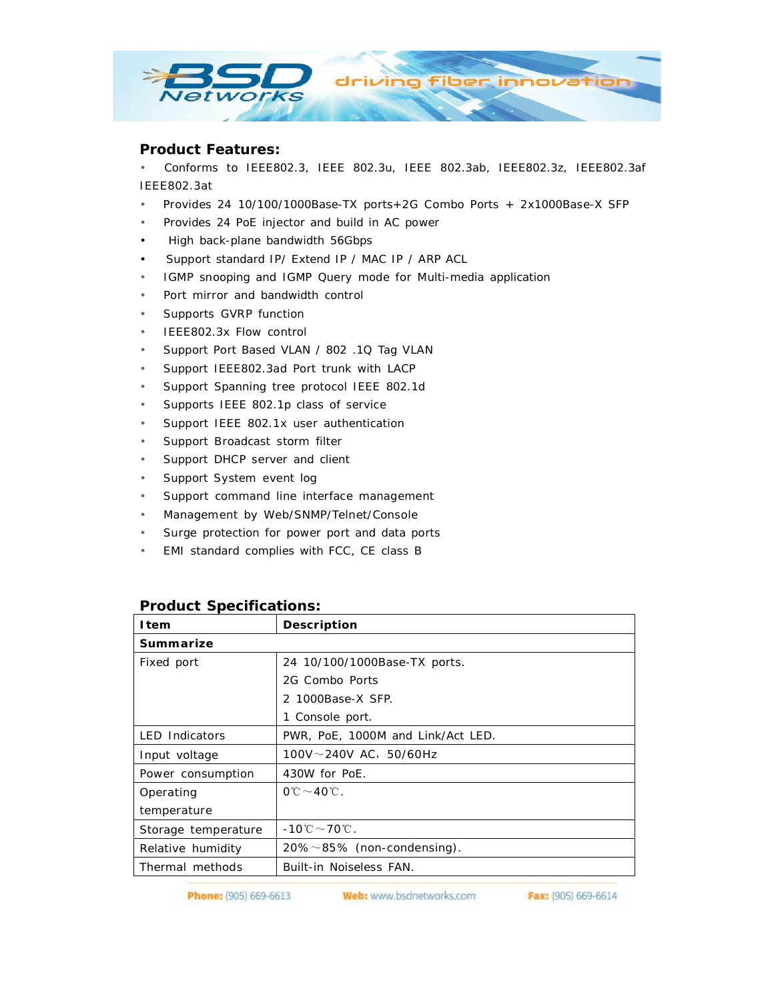

#### **Product Features:**

• Conforms to IEEE802.3, IEEE 802.3u, IEEE 802.3ab, IEEE802.3z, IEEE802.3af IEEE802.3at

- Provides 24 10/100/1000Base-TX ports+2G Combo Ports + 2x1000Base-X SFP
- Provides 24 PoE injector and build in AC power
- High back-plane bandwidth 56Gbps
- Support standard IP/ Extend IP / MAC IP / ARP ACL
- IGMP snooping and IGMP Query mode for Multi-media application
- Port mirror and bandwidth control
- Supports GVRP function
- IEEE802.3x Flow control
- Support Port Based VLAN / 802 .1Q Tag VLAN
- Support IEEE802.3ad Port trunk with LACP
- Support Spanning tree protocol IEEE 802.1d
- Supports IEEE 802.1p class of service
- Support IEEE 802.1x user authentication
- Support Broadcast storm filter
- Support DHCP server and client
- Support System event log
- Support command line interface management
- Management by Web/SNMP/Telnet/Console
- Surge protection for power port and data ports
- EMI standard complies with FCC, CE class B

### **Product Specifications:**

| <b>I</b> tem          | Description                                         |
|-----------------------|-----------------------------------------------------|
| Summarize             |                                                     |
| Fixed port            | 24 10/100/1000Base-TX ports.                        |
|                       | 2G Combo Ports                                      |
|                       | 2 1000Base-X SFP.                                   |
|                       | 1 Console port.                                     |
| <b>LED Indicators</b> | PWR, PoE, 1000M and Link/Act LED.                   |
| Input voltage         | $100V \sim 240V$ AC, 50/60Hz                        |
| Power consumption     | 430W for PoE.                                       |
| Operating             | $0^\circ C \sim 40^\circ C$ .                       |
| temperature           |                                                     |
| Storage temperature   | $-10^{\circ}\mathrm{C} \sim 70^{\circ}\mathrm{C}$ . |
| Relative humidity     | $20\% \sim 85\%$ (non-condensing).                  |
| Thermal methods       | <b>Built-in Noiseless FAN.</b>                      |

Phone: (905) 669-6613

Web: www.bsdnetworks.com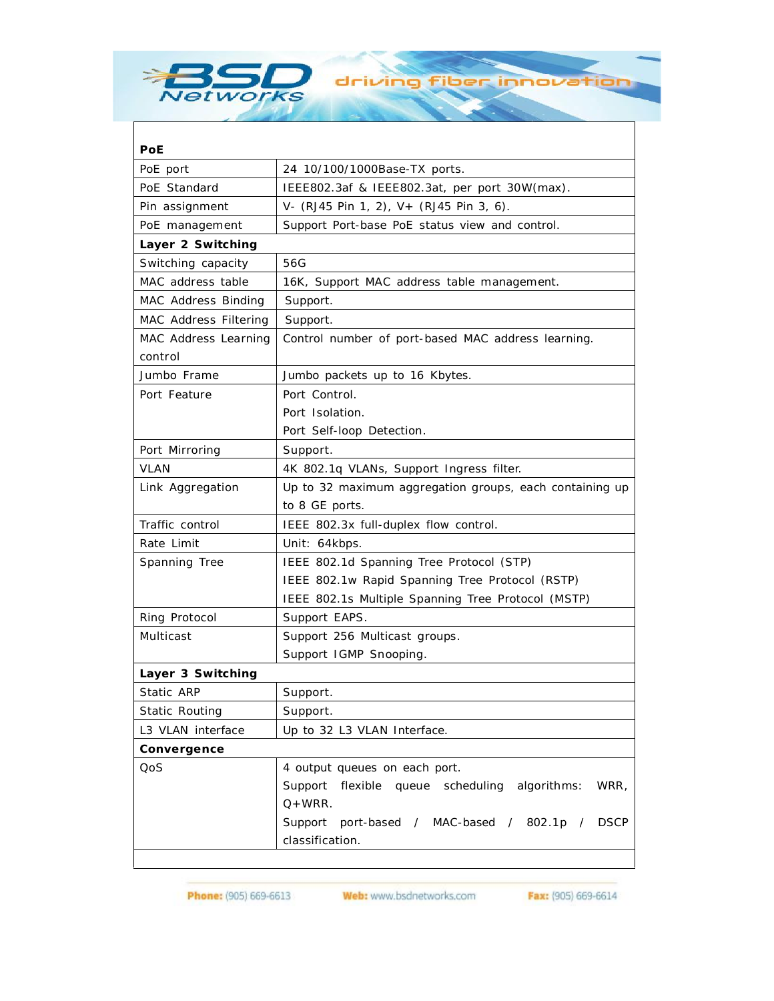

 $\mathsf{l}$ 

| PoE                          |                                                             |
|------------------------------|-------------------------------------------------------------|
| PoE port                     | 24 10/100/1000Base-TX ports.                                |
| PoE Standard                 | IEEE802.3af & IEEE802.3at, per port 30W(max).               |
| Pin assignment               | V- (RJ45 Pin 1, 2), V+ (RJ45 Pin 3, 6).                     |
| PoE management               | Support Port-base PoE status view and control.              |
| Layer 2 Switching            |                                                             |
| Switching capacity           | 56G                                                         |
| MAC address table            | 16K, Support MAC address table management.                  |
| <b>MAC Address Binding</b>   | Support.                                                    |
| <b>MAC Address Filtering</b> | Support.                                                    |
| <b>MAC Address Learning</b>  | Control number of port-based MAC address learning.          |
| control                      |                                                             |
| Jumbo Frame                  | Jumbo packets up to 16 Kbytes.                              |
| Port Feature                 | Port Control.                                               |
|                              | Port Isolation.                                             |
|                              | Port Self-loop Detection.                                   |
| Port Mirroring               | Support.                                                    |
| <b>VLAN</b>                  | 4K 802.1q VLANs, Support Ingress filter.                    |
| Link Aggregation             | Up to 32 maximum aggregation groups, each containing up     |
|                              | to 8 GE ports.                                              |
| Traffic control              | IEEE 802.3x full-duplex flow control.                       |
| Rate Limit                   | Unit: 64kbps.                                               |
| <b>Spanning Tree</b>         | IEEE 802.1d Spanning Tree Protocol (STP)                    |
|                              | IEEE 802.1w Rapid Spanning Tree Protocol (RSTP)             |
|                              | IEEE 802.1s Multiple Spanning Tree Protocol (MSTP)          |
| <b>Ring Protocol</b>         | Support EAPS.                                               |
| <b>Multicast</b>             | Support 256 Multicast groups.                               |
|                              | Support IGMP Snooping.                                      |
| Layer 3 Switching            |                                                             |
| <b>Static ARP</b>            | Support.                                                    |
| <b>Static Routing</b>        | Support.                                                    |
| L3 VLAN interface            | Up to 32 L3 VLAN Interface.                                 |
| Convergence                  |                                                             |
| QoS                          | 4 output queues on each port.                               |
|                              | Support<br>flexible queue scheduling<br>WRR,<br>algorithms: |
|                              | $Q+WRR$ .                                                   |
|                              | port-based / MAC-based / 802.1p /<br><b>DSCP</b><br>Support |
|                              | classification.                                             |

driving fiber innovation

Phone: (905) 669-6613

Web: www.bsdnetworks.com